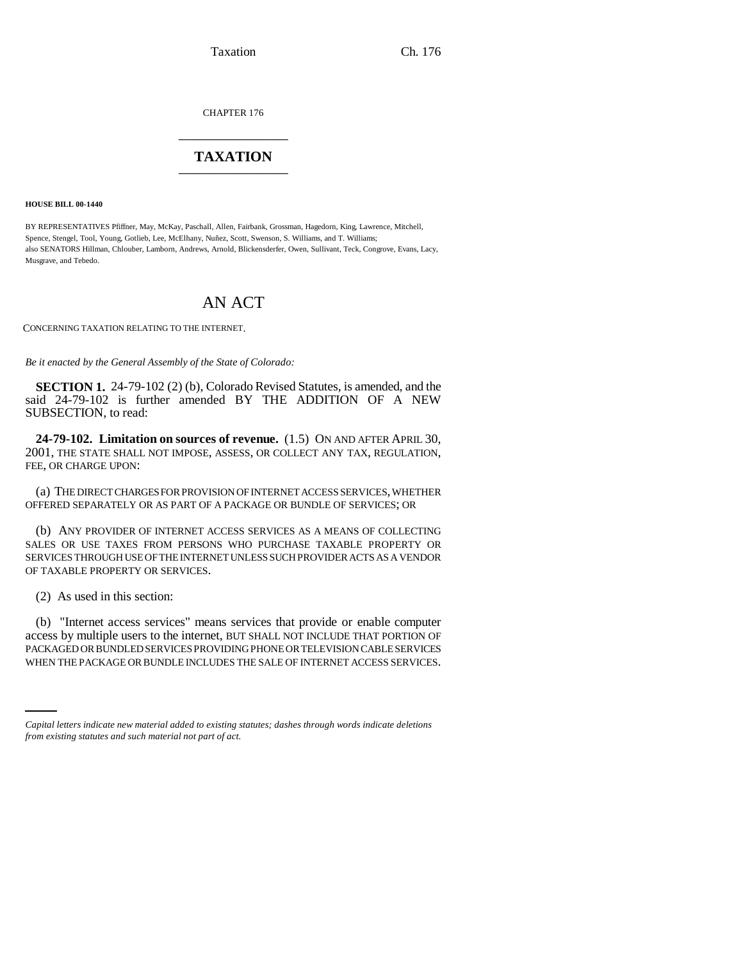Taxation Ch. 176

CHAPTER 176 \_\_\_\_\_\_\_\_\_\_\_\_\_\_\_

# **TAXATION** \_\_\_\_\_\_\_\_\_\_\_\_\_\_\_

**HOUSE BILL 00-1440** 

BY REPRESENTATIVES Pfiffner, May, McKay, Paschall, Allen, Fairbank, Grossman, Hagedorn, King, Lawrence, Mitchell, Spence, Stengel, Tool, Young, Gotlieb, Lee, McElhany, Nuñez, Scott, Swenson, S. Williams, and T. Williams; also SENATORS Hillman, Chlouber, Lamborn, Andrews, Arnold, Blickensderfer, Owen, Sullivant, Teck, Congrove, Evans, Lacy, Musgrave, and Tebedo.

# AN ACT

CONCERNING TAXATION RELATING TO THE INTERNET.

*Be it enacted by the General Assembly of the State of Colorado:*

**SECTION 1.** 24-79-102 (2) (b), Colorado Revised Statutes, is amended, and the said 24-79-102 is further amended BY THE ADDITION OF A NEW SUBSECTION, to read:

**24-79-102. Limitation on sources of revenue.** (1.5) ON AND AFTER APRIL 30, 2001, THE STATE SHALL NOT IMPOSE, ASSESS, OR COLLECT ANY TAX, REGULATION, FEE, OR CHARGE UPON:

(a) THE DIRECT CHARGES FOR PROVISION OF INTERNET ACCESS SERVICES, WHETHER OFFERED SEPARATELY OR AS PART OF A PACKAGE OR BUNDLE OF SERVICES; OR

(b) ANY PROVIDER OF INTERNET ACCESS SERVICES AS A MEANS OF COLLECTING SALES OR USE TAXES FROM PERSONS WHO PURCHASE TAXABLE PROPERTY OR SERVICES THROUGH USE OF THE INTERNET UNLESS SUCH PROVIDER ACTS AS A VENDOR OF TAXABLE PROPERTY OR SERVICES.

(2) As used in this section:

PACKAGED OR BUNDLED SERVICES PROVIDING PHONE OR TELEVISION CABLE SERVICES (b) "Internet access services" means services that provide or enable computer access by multiple users to the internet, BUT SHALL NOT INCLUDE THAT PORTION OF WHEN THE PACKAGE OR BUNDLE INCLUDES THE SALE OF INTERNET ACCESS SERVICES.

*Capital letters indicate new material added to existing statutes; dashes through words indicate deletions from existing statutes and such material not part of act.*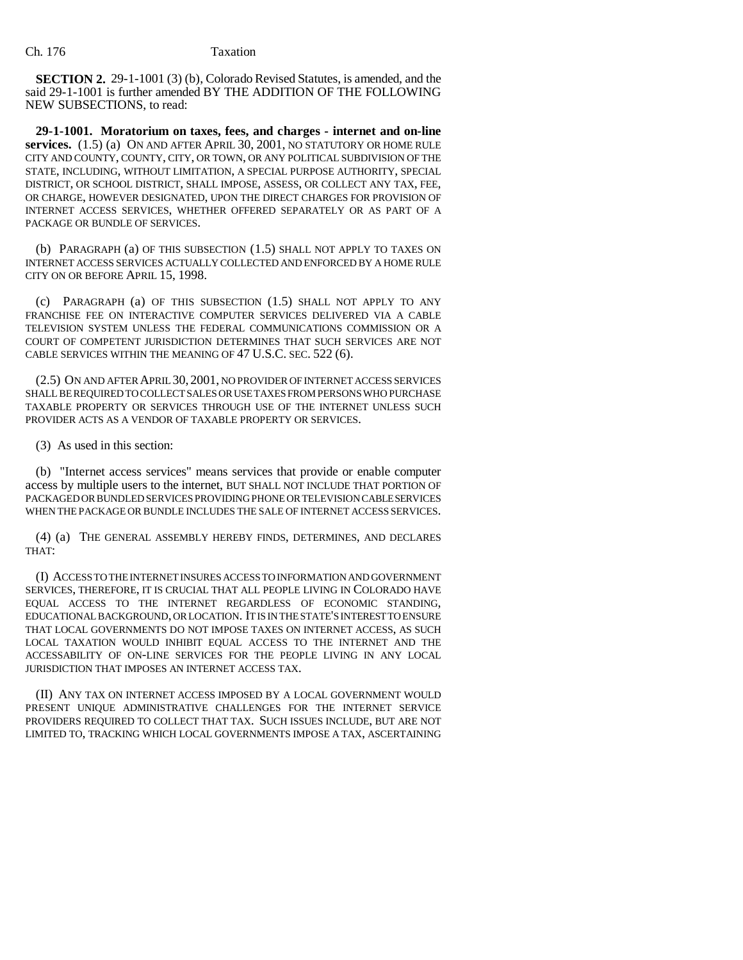**SECTION 2.** 29-1-1001 (3) (b), Colorado Revised Statutes, is amended, and the said 29-1-1001 is further amended BY THE ADDITION OF THE FOLLOWING NEW SUBSECTIONS, to read:

**29-1-1001. Moratorium on taxes, fees, and charges - internet and on-line services.** (1.5) (a) ON AND AFTER APRIL 30, 2001, NO STATUTORY OR HOME RULE CITY AND COUNTY, COUNTY, CITY, OR TOWN, OR ANY POLITICAL SUBDIVISION OF THE STATE, INCLUDING, WITHOUT LIMITATION, A SPECIAL PURPOSE AUTHORITY, SPECIAL DISTRICT, OR SCHOOL DISTRICT, SHALL IMPOSE, ASSESS, OR COLLECT ANY TAX, FEE, OR CHARGE, HOWEVER DESIGNATED, UPON THE DIRECT CHARGES FOR PROVISION OF INTERNET ACCESS SERVICES, WHETHER OFFERED SEPARATELY OR AS PART OF A PACKAGE OR BUNDLE OF SERVICES.

(b) PARAGRAPH (a) OF THIS SUBSECTION (1.5) SHALL NOT APPLY TO TAXES ON INTERNET ACCESS SERVICES ACTUALLY COLLECTED AND ENFORCED BY A HOME RULE CITY ON OR BEFORE APRIL 15, 1998.

(c) PARAGRAPH (a) OF THIS SUBSECTION (1.5) SHALL NOT APPLY TO ANY FRANCHISE FEE ON INTERACTIVE COMPUTER SERVICES DELIVERED VIA A CABLE TELEVISION SYSTEM UNLESS THE FEDERAL COMMUNICATIONS COMMISSION OR A COURT OF COMPETENT JURISDICTION DETERMINES THAT SUCH SERVICES ARE NOT CABLE SERVICES WITHIN THE MEANING OF 47 U.S.C. SEC. 522 (6).

(2.5) ON AND AFTER APRIL 30, 2001, NO PROVIDER OF INTERNET ACCESS SERVICES SHALL BE REQUIRED TO COLLECT SALES OR USE TAXES FROM PERSONS WHO PURCHASE TAXABLE PROPERTY OR SERVICES THROUGH USE OF THE INTERNET UNLESS SUCH PROVIDER ACTS AS A VENDOR OF TAXABLE PROPERTY OR SERVICES.

(3) As used in this section:

(b) "Internet access services" means services that provide or enable computer access by multiple users to the internet, BUT SHALL NOT INCLUDE THAT PORTION OF PACKAGED OR BUNDLED SERVICES PROVIDING PHONE OR TELEVISION CABLE SERVICES WHEN THE PACKAGE OR BUNDLE INCLUDES THE SALE OF INTERNET ACCESS SERVICES.

(4) (a) THE GENERAL ASSEMBLY HEREBY FINDS, DETERMINES, AND DECLARES THAT:

(I) ACCESS TO THE INTERNET INSURES ACCESS TO INFORMATION AND GOVERNMENT SERVICES, THEREFORE, IT IS CRUCIAL THAT ALL PEOPLE LIVING IN COLORADO HAVE EQUAL ACCESS TO THE INTERNET REGARDLESS OF ECONOMIC STANDING, EDUCATIONAL BACKGROUND, OR LOCATION. IT IS IN THE STATE'S INTEREST TO ENSURE THAT LOCAL GOVERNMENTS DO NOT IMPOSE TAXES ON INTERNET ACCESS, AS SUCH LOCAL TAXATION WOULD INHIBIT EQUAL ACCESS TO THE INTERNET AND THE ACCESSABILITY OF ON-LINE SERVICES FOR THE PEOPLE LIVING IN ANY LOCAL JURISDICTION THAT IMPOSES AN INTERNET ACCESS TAX.

(II) ANY TAX ON INTERNET ACCESS IMPOSED BY A LOCAL GOVERNMENT WOULD PRESENT UNIQUE ADMINISTRATIVE CHALLENGES FOR THE INTERNET SERVICE PROVIDERS REQUIRED TO COLLECT THAT TAX. SUCH ISSUES INCLUDE, BUT ARE NOT LIMITED TO, TRACKING WHICH LOCAL GOVERNMENTS IMPOSE A TAX, ASCERTAINING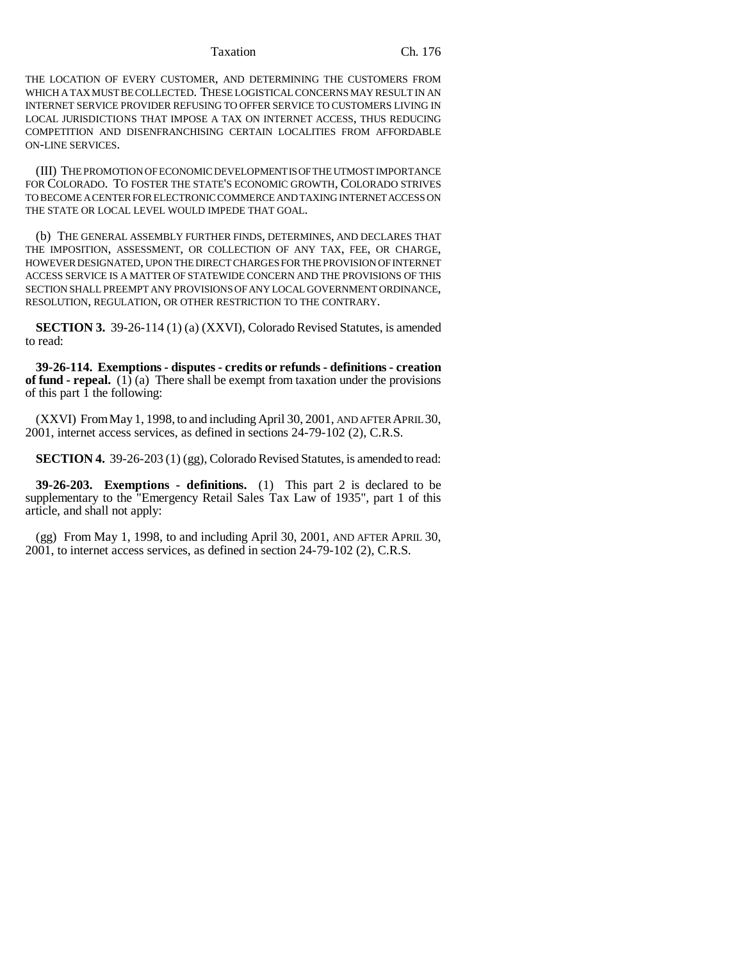### Taxation Ch. 176

THE LOCATION OF EVERY CUSTOMER, AND DETERMINING THE CUSTOMERS FROM WHICH A TAX MUST BE COLLECTED. THESE LOGISTICAL CONCERNS MAY RESULT IN AN INTERNET SERVICE PROVIDER REFUSING TO OFFER SERVICE TO CUSTOMERS LIVING IN LOCAL JURISDICTIONS THAT IMPOSE A TAX ON INTERNET ACCESS, THUS REDUCING COMPETITION AND DISENFRANCHISING CERTAIN LOCALITIES FROM AFFORDABLE ON-LINE SERVICES.

(III) THE PROMOTION OF ECONOMIC DEVELOPMENT IS OF THE UTMOST IMPORTANCE FOR COLORADO. TO FOSTER THE STATE'S ECONOMIC GROWTH, COLORADO STRIVES TO BECOME A CENTER FOR ELECTRONIC COMMERCE AND TAXING INTERNET ACCESS ON THE STATE OR LOCAL LEVEL WOULD IMPEDE THAT GOAL.

(b) THE GENERAL ASSEMBLY FURTHER FINDS, DETERMINES, AND DECLARES THAT THE IMPOSITION, ASSESSMENT, OR COLLECTION OF ANY TAX, FEE, OR CHARGE, HOWEVER DESIGNATED, UPON THE DIRECT CHARGES FOR THE PROVISION OF INTERNET ACCESS SERVICE IS A MATTER OF STATEWIDE CONCERN AND THE PROVISIONS OF THIS SECTION SHALL PREEMPT ANY PROVISIONS OF ANY LOCAL GOVERNMENT ORDINANCE, RESOLUTION, REGULATION, OR OTHER RESTRICTION TO THE CONTRARY.

**SECTION 3.** 39-26-114 (1) (a) (XXVI), Colorado Revised Statutes, is amended to read:

**39-26-114. Exemptions - disputes - credits or refunds - definitions - creation of fund - repeal.** (1) (a) There shall be exempt from taxation under the provisions of this part 1 the following:

(XXVI) From May 1, 1998, to and including April 30, 2001, AND AFTER APRIL 30, 2001, internet access services, as defined in sections 24-79-102 (2), C.R.S.

**SECTION 4.** 39-26-203 (1) (gg), Colorado Revised Statutes, is amended to read:

**39-26-203. Exemptions - definitions.** (1) This part 2 is declared to be supplementary to the "Emergency Retail Sales Tax Law of 1935", part 1 of this article, and shall not apply:

(gg) From May 1, 1998, to and including April 30, 2001, AND AFTER APRIL 30, 2001, to internet access services, as defined in section 24-79-102 (2), C.R.S.